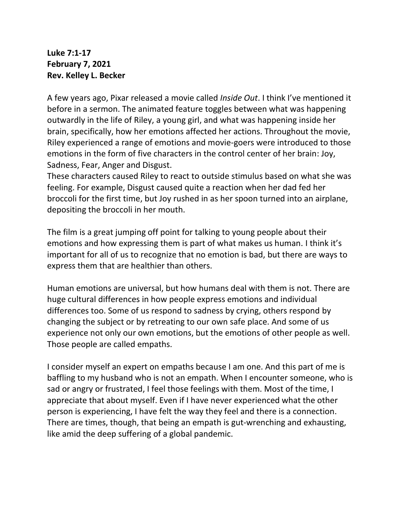## **Luke 7:1-17 February 7, 2021 Rev. Kelley L. Becker**

A few years ago, Pixar released a movie called *Inside Out*. I think I've mentioned it before in a sermon. The animated feature toggles between what was happening outwardly in the life of Riley, a young girl, and what was happening inside her brain, specifically, how her emotions affected her actions. Throughout the movie, Riley experienced a range of emotions and movie-goers were introduced to those emotions in the form of five characters in the control center of her brain: Joy, Sadness, Fear, Anger and Disgust.

These characters caused Riley to react to outside stimulus based on what she was feeling. For example, Disgust caused quite a reaction when her dad fed her broccoli for the first time, but Joy rushed in as her spoon turned into an airplane, depositing the broccoli in her mouth.

The film is a great jumping off point for talking to young people about their emotions and how expressing them is part of what makes us human. I think it's important for all of us to recognize that no emotion is bad, but there are ways to express them that are healthier than others.

Human emotions are universal, but how humans deal with them is not. There are huge cultural differences in how people express emotions and individual differences too. Some of us respond to sadness by crying, others respond by changing the subject or by retreating to our own safe place. And some of us experience not only our own emotions, but the emotions of other people as well. Those people are called empaths.

I consider myself an expert on empaths because I am one. And this part of me is baffling to my husband who is not an empath. When I encounter someone, who is sad or angry or frustrated, I feel those feelings with them. Most of the time, I appreciate that about myself. Even if I have never experienced what the other person is experiencing, I have felt the way they feel and there is a connection. There are times, though, that being an empath is gut-wrenching and exhausting, like amid the deep suffering of a global pandemic.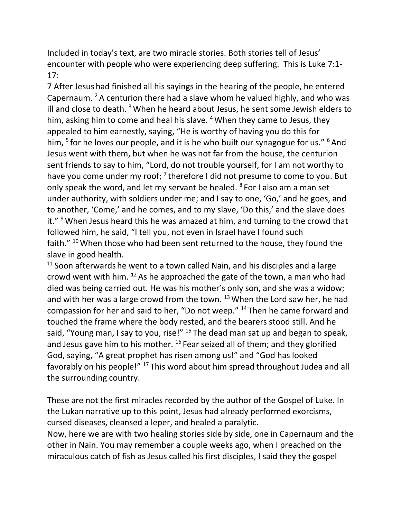Included in today's text, are two miracle stories. Both stories tell of Jesus' encounter with people who were experiencing deep suffering. This is Luke 7:1- 17:

7 After Jesus had finished all his sayings in the hearing of the people, he entered Capernaum. <sup>2</sup> A centurion there had a slave whom he valued highly, and who was ill and close to death.  $3$  When he heard about Jesus, he sent some Jewish elders to him, asking him to come and heal his slave.  $4$  When they came to Jesus, they appealed to him earnestly, saying, "He is worthy of having you do this for him, <sup>5</sup> for he loves our people, and it is he who built our synagogue for us." <sup>6</sup> And Jesus went with them, but when he was not far from the house, the centurion sent friends to say to him, "Lord, do not trouble yourself, for I am not worthy to have you come under my roof; <sup>7</sup> therefore I did not presume to come to you. But only speak the word, and let my servant be healed. <sup>8</sup> For I also am a man set under authority, with soldiers under me; and I say to one, 'Go,' and he goes, and to another, 'Come,' and he comes, and to my slave, 'Do this,' and the slave does it."  $9$  When Jesus heard this he was amazed at him, and turning to the crowd that followed him, he said, "I tell you, not even in Israel have I found such faith."  $10$  When those who had been sent returned to the house, they found the slave in good health.

 $11$  Soon afterwards he went to a town called Nain, and his disciples and a large crowd went with him. <sup>12</sup> As he approached the gate of the town, a man who had died was being carried out. He was his mother's only son, and she was a widow; and with her was a large crowd from the town.  $13$  When the Lord saw her, he had compassion for her and said to her, "Do not weep." <sup>14</sup> Then he came forward and touched the frame where the body rested, and the bearers stood still. And he said, "Young man, I say to you, rise!"  $15$  The dead man sat up and began to speak, and Jesus gave him to his mother. <sup>16</sup> Fear seized all of them; and they glorified God, saying, "A great prophet has risen among us!" and "God has looked favorably on his people!" <sup>17</sup> This word about him spread throughout Judea and all the surrounding country.

These are not the first miracles recorded by the author of the Gospel of Luke. In the Lukan narrative up to this point, Jesus had already performed exorcisms, cursed diseases, cleansed a leper, and healed a paralytic.

Now, here we are with two healing stories side by side, one in Capernaum and the other in Nain. You may remember a couple weeks ago, when I preached on the miraculous catch of fish as Jesus called his first disciples, I said they the gospel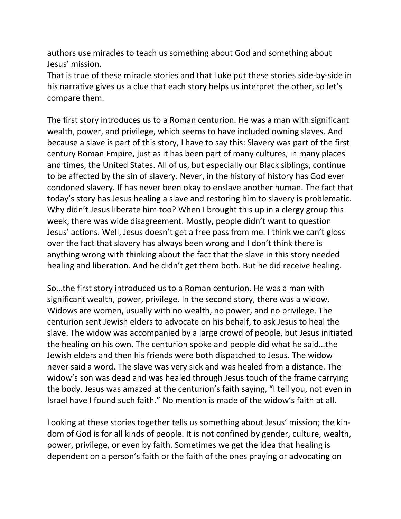authors use miracles to teach us something about God and something about Jesus' mission.

That is true of these miracle stories and that Luke put these stories side-by-side in his narrative gives us a clue that each story helps us interpret the other, so let's compare them.

The first story introduces us to a Roman centurion. He was a man with significant wealth, power, and privilege, which seems to have included owning slaves. And because a slave is part of this story, I have to say this: Slavery was part of the first century Roman Empire, just as it has been part of many cultures, in many places and times, the United States. All of us, but especially our Black siblings, continue to be affected by the sin of slavery. Never, in the history of history has God ever condoned slavery. If has never been okay to enslave another human. The fact that today's story has Jesus healing a slave and restoring him to slavery is problematic. Why didn't Jesus liberate him too? When I brought this up in a clergy group this week, there was wide disagreement. Mostly, people didn't want to question Jesus' actions. Well, Jesus doesn't get a free pass from me. I think we can't gloss over the fact that slavery has always been wrong and I don't think there is anything wrong with thinking about the fact that the slave in this story needed healing and liberation. And he didn't get them both. But he did receive healing.

So…the first story introduced us to a Roman centurion. He was a man with significant wealth, power, privilege. In the second story, there was a widow. Widows are women, usually with no wealth, no power, and no privilege. The centurion sent Jewish elders to advocate on his behalf, to ask Jesus to heal the slave. The widow was accompanied by a large crowd of people, but Jesus initiated the healing on his own. The centurion spoke and people did what he said…the Jewish elders and then his friends were both dispatched to Jesus. The widow never said a word. The slave was very sick and was healed from a distance. The widow's son was dead and was healed through Jesus touch of the frame carrying the body. Jesus was amazed at the centurion's faith saying, "I tell you, not even in Israel have I found such faith." No mention is made of the widow's faith at all.

Looking at these stories together tells us something about Jesus' mission; the kindom of God is for all kinds of people. It is not confined by gender, culture, wealth, power, privilege, or even by faith. Sometimes we get the idea that healing is dependent on a person's faith or the faith of the ones praying or advocating on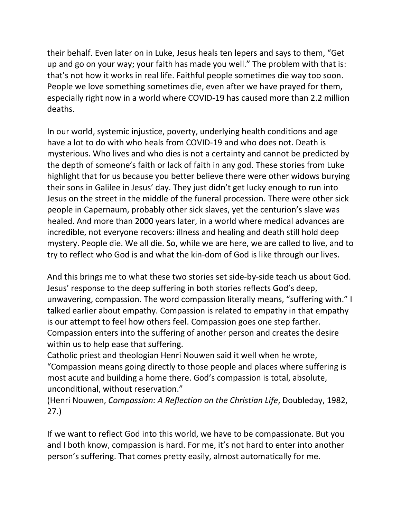their behalf. Even later on in Luke, Jesus heals ten lepers and says to them, "Get up and go on your way; your faith has made you well." The problem with that is: that's not how it works in real life. Faithful people sometimes die way too soon. People we love something sometimes die, even after we have prayed for them, especially right now in a world where COVID-19 has caused more than 2.2 million deaths.

In our world, systemic injustice, poverty, underlying health conditions and age have a lot to do with who heals from COVID-19 and who does not. Death is mysterious. Who lives and who dies is not a certainty and cannot be predicted by the depth of someone's faith or lack of faith in any god. These stories from Luke highlight that for us because you better believe there were other widows burying their sons in Galilee in Jesus' day. They just didn't get lucky enough to run into Jesus on the street in the middle of the funeral procession. There were other sick people in Capernaum, probably other sick slaves, yet the centurion's slave was healed. And more than 2000 years later, in a world where medical advances are incredible, not everyone recovers: illness and healing and death still hold deep mystery. People die. We all die. So, while we are here, we are called to live, and to try to reflect who God is and what the kin-dom of God is like through our lives.

And this brings me to what these two stories set side-by-side teach us about God. Jesus' response to the deep suffering in both stories reflects God's deep, unwavering, compassion. The word compassion literally means, "suffering with." I talked earlier about empathy. Compassion is related to empathy in that empathy is our attempt to feel how others feel. Compassion goes one step farther. Compassion enters into the suffering of another person and creates the desire within us to help ease that suffering.

Catholic priest and theologian Henri Nouwen said it well when he wrote, "Compassion means going directly to those people and places where suffering is most acute and building a home there. God's compassion is total, absolute, unconditional, without reservation."

(Henri Nouwen, *Compassion: A Reflection on the Christian Life*, Doubleday, 1982, 27.)

If we want to reflect God into this world, we have to be compassionate. But you and I both know, compassion is hard. For me, it's not hard to enter into another person's suffering. That comes pretty easily, almost automatically for me.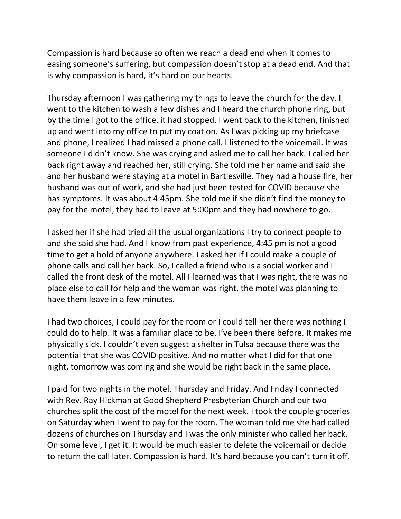Compassion is hard because so often we reach a dead end when it comes to easing someone's suffering, but compassion doesn't stop at a dead end. And that is why compassion is hard, it's hard on our hearts.

Thursday afternoon I was gathering my things to leave the church for the day. I went to the kitchen to wash a few dishes and I heard the church phone ring, but by the time I got to the office, it had stopped. I went back to the kitchen, finished up and went into my office to put my coat on. As I was picking up my briefcase and phone, I realized I had missed a phone call. I listened to the voicemail. It was someone I didn't know. She was crying and asked me to call her back. I called her back right away and reached her, still crying. She told me her name and said she and her husband were staying at a motel in Bartlesville. They had a house fire, her husband was out of work, and she had just been tested for COVID because she has symptoms. It was about 4:45pm. She told me if she didn't find the money to pay for the motel, they had to leave at 5:00pm and they had nowhere to go.

I asked her if she had tried all the usual organizations I try to connect people to and she said she had. And I know from past experience, 4:45 pm is not a good time to get a hold of anyone anywhere. I asked her if I could make a couple of phone calls and call her back. So, I called a friend who is a social worker and I called the front desk of the motel. All I learned was that I was right, there was no place else to call for help and the woman was right, the motel was planning to have them leave in a few minutes.

I had two choices, I could pay for the room or I could tell her there was nothing I could do to help. It was a familiar place to be. I've been there before. It makes me physically sick. I couldn't even suggest a shelter in Tulsa because there was the potential that she was COVID positive. And no matter what I did for that one night, tomorrow was coming and she would be right back in the same place.

I paid for two nights in the motel, Thursday and Friday. And Friday I connected with Rev. Ray Hickman at Good Shepherd Presbyterian Church and our two churches split the cost of the motel for the next week. I took the couple groceries on Saturday when I went to pay for the room. The woman told me she had called dozens of churches on Thursday and I was the only minister who called her back. On some level, I get it. It would be much easier to delete the voicemail or decide to return the call later. Compassion is hard. It's hard because you can't turn it off.